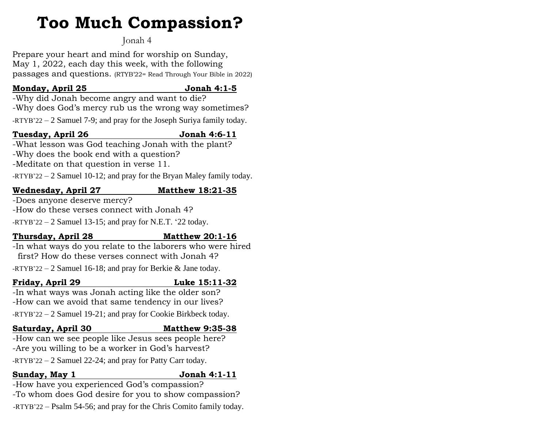# **Too Much Compassion?**

# Jonah 4

Prepare your heart and mind for worship on Sunday, May 1, 2022, each day this week, with the following passages and questions. (RTYB'22= Read Through Your Bible in 2022)

## **Monday, April 25 Jonah 4:1-5**

-Why did Jonah become angry and want to die? -Why does God's mercy rub us the wrong way sometimes?

-RTYB'22 – 2 Samuel 7-9; and pray for the Joseph Suriya family today.

# **Tuesday, April 26 Jonah 4:6-11**

-What lesson was God teaching Jonah with the plant? -Why does the book end with a question? -Meditate on that question in verse 11.

-RTYB'22 – 2 Samuel 10-12; and pray for the Bryan Maley family today.

# **Wednesday, April 27 Matthew 18:21-35**

-Does anyone deserve mercy? -How do these verses connect with Jonah 4?

 $-RTYB'22 - 2$  Samuel 13-15; and pray for N.E.T. '22 today.

# **Thursday, April 28 Matthew 20:1-16**

-In what ways do you relate to the laborers who were hired first? How do these verses connect with Jonah 4?

-RTYB'22 – 2 Samuel 16-18; and pray for Berkie & Jane today.

# **Friday, April 29 Luke 15:11-32**

-In what ways was Jonah acting like the older son? -How can we avoid that same tendency in our lives? -RTYB'22 – 2 Samuel 19-21; and pray for Cookie Birkbeck today.

### **Saturday, April 30 Matthew 9:35-38**

-How can we see people like Jesus sees people here? -Are you willing to be a worker in God's harvest? -RTYB'22 – 2 Samuel 22-24; and pray for Patty Carr today.

### **Sunday, May 1 Jonah 4:1-11**

-How have you experienced God's compassion? -To whom does God desire for you to show compassion? -RTYB'22 – Psalm 54-56; and pray for the Chris Comito family today.